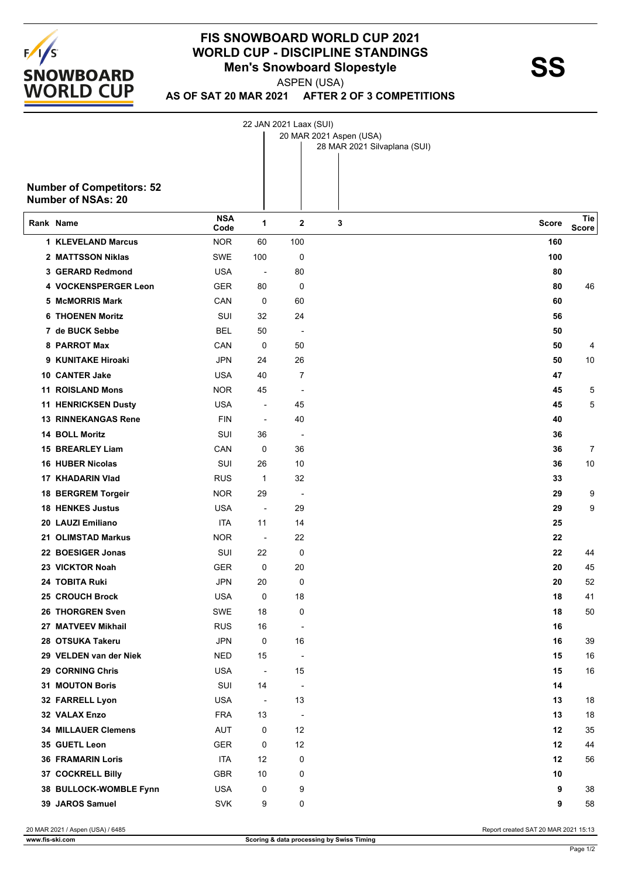

## **FIS SNOWBOARD WORLD CUP 2021 WORLD CUP - DISCIPLINE STANDINGS<br>Men's Snowboard Slopestyle<br>ASPEN (LISA)**

ASPEN (USA)

22 JAN 2021 Laax (SUI)

**AS OF SAT 20 MAR 2021 AFTER 2 OF 3 COMPETITIONS**

|    |                                                               |                    |                          |                          | 20 MAR 2021 Aspen (USA)<br>28 MAR 2021 Silvaplana (SUI) |       |              |
|----|---------------------------------------------------------------|--------------------|--------------------------|--------------------------|---------------------------------------------------------|-------|--------------|
|    |                                                               |                    |                          |                          |                                                         |       |              |
|    | <b>Number of Competitors: 52</b><br><b>Number of NSAs: 20</b> |                    |                          |                          |                                                         |       |              |
|    | Rank Name                                                     | <b>NSA</b><br>Code | 1                        | 2                        | 3                                                       | Score | Tie<br>Score |
|    | <b>1 KLEVELAND Marcus</b>                                     | <b>NOR</b>         | 60                       | 100                      |                                                         | 160   |              |
|    | 2 MATTSSON Niklas                                             | SWE                | 100                      | 0                        |                                                         | 100   |              |
|    | 3 GERARD Redmond                                              | <b>USA</b>         | $\overline{\phantom{a}}$ | 80                       |                                                         | 80    |              |
|    | 4 VOCKENSPERGER Leon                                          | <b>GER</b>         | 80                       | 0                        |                                                         | 80    | 46           |
|    | 5 McMORRIS Mark                                               | CAN                | 0                        | 60                       |                                                         | 60    |              |
|    | <b>6 THOENEN Moritz</b>                                       | SUI                | 32                       | 24                       |                                                         | 56    |              |
|    | 7 de BUCK Sebbe                                               | <b>BEL</b>         | 50                       | $\overline{\phantom{a}}$ |                                                         | 50    |              |
|    | 8 PARROT Max                                                  | CAN                | 0                        | 50                       |                                                         | 50    | 4            |
|    | 9 KUNITAKE Hiroaki                                            | JPN                | 24                       | 26                       |                                                         | 50    | 10           |
|    | 10 CANTER Jake                                                | <b>USA</b>         | 40                       | 7                        |                                                         | 47    |              |
|    | <b>11 ROISLAND Mons</b>                                       | <b>NOR</b>         | 45                       | $\overline{\phantom{a}}$ |                                                         | 45    | 5            |
| 11 | <b>HENRICKSEN Dusty</b>                                       | <b>USA</b>         | $\overline{\phantom{a}}$ | 45                       |                                                         | 45    | 5            |
|    | <b>13 RINNEKANGAS Rene</b>                                    | <b>FIN</b>         | $\overline{\phantom{a}}$ | 40                       |                                                         | 40    |              |
|    | 14 BOLL Moritz                                                | SUI                | 36                       | $\overline{\phantom{a}}$ |                                                         | 36    |              |
|    | 15 BREARLEY Liam                                              | CAN                | 0                        | 36                       |                                                         | 36    | 7            |
|    | <b>16 HUBER Nicolas</b>                                       | SUI                | 26                       | 10                       |                                                         | 36    | 10           |
|    | 17 KHADARIN Vlad                                              | <b>RUS</b>         | 1                        | 32                       |                                                         | 33    |              |
|    | 18 BERGREM Torgeir                                            | <b>NOR</b>         | 29                       | $\overline{\phantom{a}}$ |                                                         | 29    | 9            |
|    | <b>18 HENKES Justus</b>                                       | <b>USA</b>         |                          | 29                       |                                                         | 29    | 9            |
|    | 20 LAUZI Emiliano                                             | ITA                | 11                       | 14                       |                                                         | 25    |              |
|    | 21 OLIMSTAD Markus                                            | <b>NOR</b>         | $\overline{\phantom{a}}$ | 22                       |                                                         | 22    |              |
|    | 22 BOESIGER Jonas                                             | SUI                | 22                       | 0                        |                                                         | 22    | 44           |
|    | 23 VICKTOR Noah                                               | <b>GER</b>         | 0                        | 20                       |                                                         | 20    | 45           |
|    | 24 TOBITA Ruki                                                | JPN                | 20                       | 0                        |                                                         | 20    | 52           |
|    | 25 CROUCH Brock                                               | <b>USA</b>         | 0                        | 18                       |                                                         | 18    | 41           |
|    | 26 THORGREN Sven                                              | SWE                | 18                       | 0                        |                                                         | 18    | 50           |
|    | 27 MATVEEV Mikhail                                            | <b>RUS</b>         | 16                       | $\overline{\phantom{a}}$ |                                                         | 16    |              |
|    | 28 OTSUKA Takeru                                              | <b>JPN</b>         | 0                        | 16                       |                                                         | 16    | 39           |
|    | 29 VELDEN van der Niek                                        | <b>NED</b>         | 15                       | $\overline{\phantom{a}}$ |                                                         | 15    | 16           |
|    | 29 CORNING Chris                                              | <b>USA</b>         | $\blacksquare$           | 15                       |                                                         | 15    | $16\,$       |
|    | 31 MOUTON Boris                                               | SUI                | 14                       | $\overline{\phantom{a}}$ |                                                         | 14    |              |
|    | 32 FARRELL Lyon                                               | <b>USA</b>         | $\blacksquare$           | 13                       |                                                         | 13    | 18           |
|    | 32 VALAX Enzo                                                 | <b>FRA</b>         | 13                       | $\overline{\phantom{a}}$ |                                                         | 13    | 18           |
|    | <b>34 MILLAUER Clemens</b>                                    | <b>AUT</b>         | 0                        | 12                       |                                                         | 12    | 35           |
|    | 35 GUETL Leon                                                 | <b>GER</b>         | 0                        | 12                       |                                                         | 12    | 44           |
|    | <b>36 FRAMARIN Loris</b>                                      | ITA                | 12                       | 0                        |                                                         | 12    | 56           |
|    | 37 COCKRELL Billy                                             | GBR                | 10                       | 0                        |                                                         | 10    |              |
|    | 38 BULLOCK-WOMBLE Fynn                                        | <b>USA</b>         | 0                        | 9                        |                                                         | 9     | 38           |
|    | 39 JAROS Samuel                                               | <b>SVK</b>         | 9                        | 0                        |                                                         | 9     | 58           |

20 MAR 2021 / Aspen (USA) / 6485 Report created SAT 20 MAR 2021 15:13